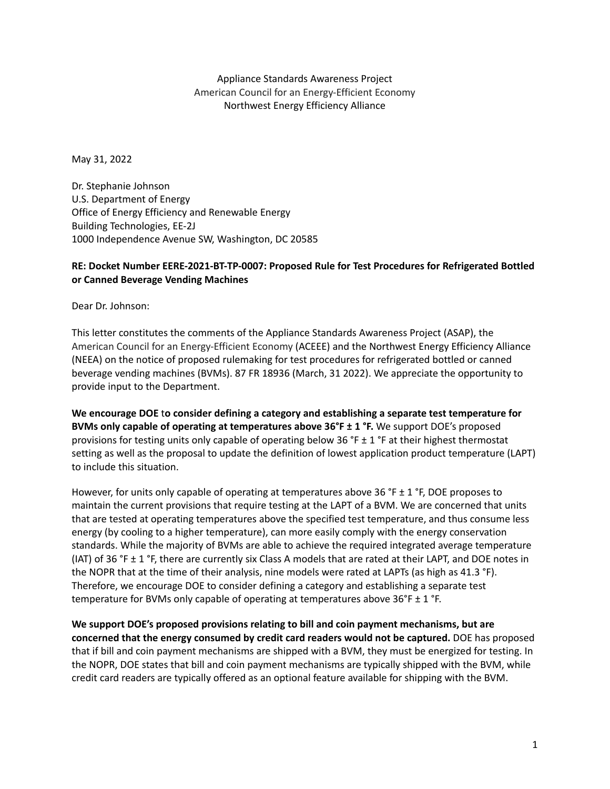Appliance Standards Awareness Project American Council for an Energy-Efficient Economy Northwest Energy Efficiency Alliance

May 31, 2022

Dr. Stephanie Johnson U.S. Department of Energy Office of Energy Efficiency and Renewable Energy Building Technologies, EE-2J 1000 Independence Avenue SW, Washington, DC 20585

## **RE: Docket Number EERE-2021-BT-TP-0007: Proposed Rule for Test Procedures for Refrigerated Bottled or Canned Beverage Vending Machines**

Dear Dr. Johnson:

This letter constitutes the comments of the Appliance Standards Awareness Project (ASAP), the American Council for an Energy-Efficient Economy (ACEEE) and the Northwest Energy Efficiency Alliance (NEEA) on the notice of proposed rulemaking for test procedures for refrigerated bottled or canned beverage vending machines (BVMs). 87 FR 18936 (March, 31 2022). We appreciate the opportunity to provide input to the Department.

**We encourage DOE** t**o consider defining a category and establishing a separate test temperature for BVMs only capable of operating at temperatures above 36°F ± 1 °F.** We support DOE's proposed provisions for testing units only capable of operating below 36 °F  $\pm$  1 °F at their highest thermostat setting as well as the proposal to update the definition of lowest application product temperature (LAPT) to include this situation.

However, for units only capable of operating at temperatures above 36 °F  $\pm$  1 °F, DOE proposes to maintain the current provisions that require testing at the LAPT of a BVM. We are concerned that units that are tested at operating temperatures above the specified test temperature, and thus consume less energy (by cooling to a higher temperature), can more easily comply with the energy conservation standards. While the majority of BVMs are able to achieve the required integrated average temperature (IAT) of 36 °F  $\pm$  1 °F, there are currently six Class A models that are rated at their LAPT, and DOE notes in the NOPR that at the time of their analysis, nine models were rated at LAPTs (as high as 41.3 °F). Therefore, we encourage DOE to consider defining a category and establishing a separate test temperature for BVMs only capable of operating at temperatures above  $36^{\circ}F \pm 1^{\circ}F$ .

**We support DOE's proposed provisions relating to bill and coin payment mechanisms, but are concerned that the energy consumed by credit card readers would not be captured.** DOE has proposed that if bill and coin payment mechanisms are shipped with a BVM, they must be energized for testing. In the NOPR, DOE states that bill and coin payment mechanisms are typically shipped with the BVM, while credit card readers are typically offered as an optional feature available for shipping with the BVM.